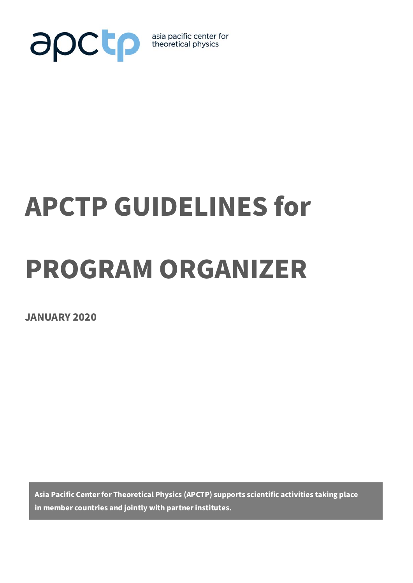

asia pacific center for<br>theoretical physics

# APCTP GUIDELINES for

## PROGRAM ORGANIZER

JANUARY 2020

Asia Pacific Center for Theoretical Physics (APCTP) supports scientific activities taking place in member countries and jointly with partner institutes.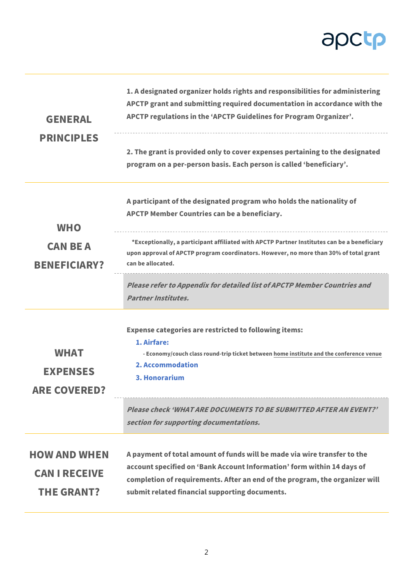## apctp

|                                                                  | 1. A designated organizer holds rights and responsibilities for administering<br>APCTP grant and submitting required documentation in accordance with the                                                                                                                           |
|------------------------------------------------------------------|-------------------------------------------------------------------------------------------------------------------------------------------------------------------------------------------------------------------------------------------------------------------------------------|
| <b>GENERAL</b>                                                   | APCTP regulations in the 'APCTP Guidelines for Program Organizer'.                                                                                                                                                                                                                  |
| <b>PRINCIPLES</b>                                                | 2. The grant is provided only to cover expenses pertaining to the designated<br>program on a per-person basis. Each person is called 'beneficiary'.                                                                                                                                 |
| <b>WHO</b>                                                       | A participant of the designated program who holds the nationality of<br>APCTP Member Countries can be a beneficiary.                                                                                                                                                                |
| <b>CAN BE A</b><br><b>BENEFICIARY?</b>                           | *Exceptionally, a participant affiliated with APCTP Partner Institutes can be a beneficiary<br>upon approval of APCTP program coordinators. However, no more than 30% of total grant<br>can be allocated.                                                                           |
|                                                                  | Please refer to Appendix for detailed list of APCTP Member Countries and<br><b>Partner Institutes.</b>                                                                                                                                                                              |
| <b>WHAT</b><br><b>EXPENSES</b><br><b>ARE COVERED?</b>            | <b>Expense categories are restricted to following items:</b><br>1. Airfare:<br>- Economy/couch class round-trip ticket between home institute and the conference venue<br>2. Accommodation<br>3. Honorarium                                                                         |
|                                                                  | Please check 'WHAT ARE DOCUMENTS TO BE SUBMITTED AFTER AN EVENT?'<br>section for supporting documentations.                                                                                                                                                                         |
| <b>HOW AND WHEN</b><br><b>CAN I RECEIVE</b><br><b>THE GRANT?</b> | A payment of total amount of funds will be made via wire transfer to the<br>account specified on 'Bank Account Information' form within 14 days of<br>completion of requirements. After an end of the program, the organizer will<br>submit related financial supporting documents. |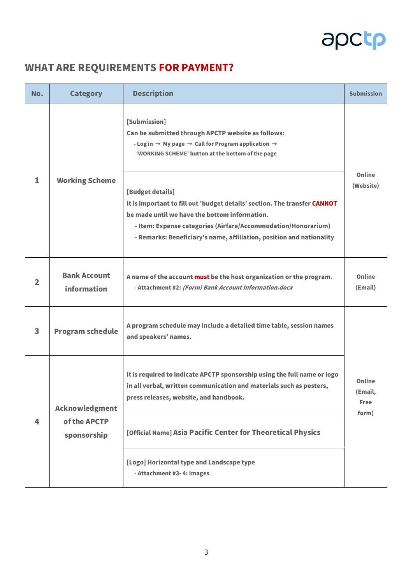## apctp

#### WHAT ARE REQUIREMENTS FOR PAYMENT?

| No.                     | <b>Category</b>                                                                                                        | <b>Description</b>                                                                                                                                                                                                                                                                      | <b>Submission</b>                         |  |
|-------------------------|------------------------------------------------------------------------------------------------------------------------|-----------------------------------------------------------------------------------------------------------------------------------------------------------------------------------------------------------------------------------------------------------------------------------------|-------------------------------------------|--|
| 1                       | <b>Working Scheme</b>                                                                                                  | [Submission]<br>Can be submitted through APCTP website as follows:<br>- Log in $\rightarrow$ My page $\rightarrow$ Call for Program application $\rightarrow$<br>'WORKING SCHEME' button at the bottom of the page                                                                      |                                           |  |
|                         |                                                                                                                        | [Budget details]<br>It is important to fill out 'budget details' section. The transfer CANNOT<br>be made until we have the bottom information.<br>- Item: Expense categories (Airfare/Accommodation/Honorarium)<br>- Remarks: Beneficiary's name, affiliation, position and nationality | Online<br>(Website)                       |  |
| $\overline{2}$          | <b>Bank Account</b><br>information                                                                                     | A name of the account must be the host organization or the program.<br>- Attachment #2: (Form) Bank Account Information.docx                                                                                                                                                            |                                           |  |
| $\overline{\mathbf{3}}$ | A program schedule may include a detailed time table, session names<br><b>Program schedule</b><br>and speakers' names. |                                                                                                                                                                                                                                                                                         |                                           |  |
| 4                       | <b>Acknowledgment</b><br>of the APCTP<br>sponsorship                                                                   | It is required to indicate APCTP sponsorship using the full name or logo<br>in all verbal, written communication and materials such as posters,<br>press releases, website, and handbook.                                                                                               | Online<br>(Email,<br><b>Free</b><br>form) |  |
|                         |                                                                                                                        | [Official Name] Asia Pacific Center for Theoretical Physics                                                                                                                                                                                                                             |                                           |  |
|                         |                                                                                                                        | [Logo] Horizontal type and Landscape type<br>- Attachment #3-4: images                                                                                                                                                                                                                  |                                           |  |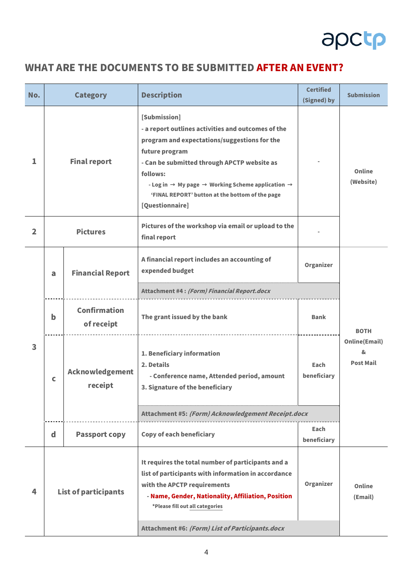

#### WHAT ARE THE DOCUMENTS TO BE SUBMITTED AFTER AN EVENT?

| No.          | <b>Category</b>             |                                   | <b>Description</b>                                                                                                                                                                                                                                                                                                                                             | <b>Certified</b><br>(Signed) by | <b>Submission</b>                             |
|--------------|-----------------------------|-----------------------------------|----------------------------------------------------------------------------------------------------------------------------------------------------------------------------------------------------------------------------------------------------------------------------------------------------------------------------------------------------------------|---------------------------------|-----------------------------------------------|
| 1            | <b>Final report</b>         |                                   | [Submission]<br>- a report outlines activities and outcomes of the<br>program and expectations/suggestions for the<br>future program<br>- Can be submitted through APCTP website as<br>follows:<br>- Log in $\rightarrow$ My page $\rightarrow$ Working Scheme application $\rightarrow$<br>'FINAL REPORT' button at the bottom of the page<br>[Questionnaire] |                                 | <b>Online</b><br>(Website)                    |
| $\mathbf{2}$ | <b>Pictures</b>             |                                   | Pictures of the workshop via email or upload to the<br>final report                                                                                                                                                                                                                                                                                            |                                 |                                               |
|              | a                           | <b>Financial Report</b>           | A financial report includes an accounting of<br>expended budget                                                                                                                                                                                                                                                                                                | Organizer                       |                                               |
|              |                             |                                   | Attachment #4: (Form) Financial Report.docx                                                                                                                                                                                                                                                                                                                    |                                 |                                               |
| 3            | b                           | <b>Confirmation</b><br>of receipt | The grant issued by the bank                                                                                                                                                                                                                                                                                                                                   | <b>Bank</b>                     | <b>BOTH</b>                                   |
|              | C                           | <b>Acknowledgement</b><br>receipt | 1. Beneficiary information<br>2. Details<br>- Conference name, Attended period, amount<br>3. Signature of the beneficiary                                                                                                                                                                                                                                      | Each<br>beneficiary             | <b>Online(Email)</b><br>&<br><b>Post Mail</b> |
|              |                             |                                   | Attachment #5: (Form) Acknowledgement Receipt.docx                                                                                                                                                                                                                                                                                                             |                                 |                                               |
|              | d                           | <b>Passport copy</b>              | <b>Copy of each beneficiary</b>                                                                                                                                                                                                                                                                                                                                | Each<br>beneficiary             |                                               |
| 4            | <b>List of participants</b> |                                   | It requires the total number of participants and a<br>list of participants with information in accordance<br>with the APCTP requirements<br>- Name, Gender, Nationality, Affiliation, Position<br>*Please fill out all categories<br>Attachment #6: (Form) List of Participants.docx                                                                           | Organizer                       | Online<br>(Email)                             |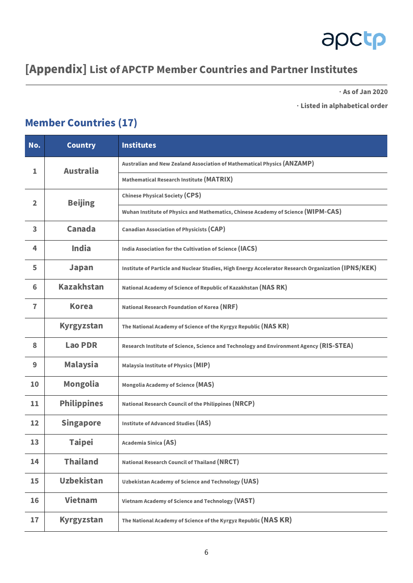

#### [Appendix] List of APCTP Member Countries and Partner Institutes

ᆞAs of Jan 2020

ᆞListed in alphabetical order

#### Member Countries (17)

| No.            | <b>Country</b>                                                                                            | <b>Institutes</b>                                                                                   |  |
|----------------|-----------------------------------------------------------------------------------------------------------|-----------------------------------------------------------------------------------------------------|--|
| 1              | <b>Australia</b>                                                                                          | Australian and New Zealand Association of Mathematical Physics (ANZAMP)                             |  |
|                |                                                                                                           | Mathematical Research Institute (MATRIX)                                                            |  |
| $\overline{2}$ | <b>Beijing</b>                                                                                            | <b>Chinese Physical Society (CPS)</b>                                                               |  |
|                |                                                                                                           | Wuhan Institute of Physics and Mathematics, Chinese Academy of Science (WIPM-CAS)                   |  |
| 3              | <b>Canada</b><br><b>Canadian Association of Physicists (CAP)</b>                                          |                                                                                                     |  |
| 4              | <b>India</b>                                                                                              | India Association for the Cultivation of Science (IACS)                                             |  |
| 5              | <b>Japan</b>                                                                                              | Institute of Particle and Nuclear Studies, High Energy Accelerator Research Organization (IPNS/KEK) |  |
| 6              | <b>Kazakhstan</b><br>National Academy of Science of Republic of Kazakhstan (NAS RK)                       |                                                                                                     |  |
| $\overline{1}$ | <b>Korea</b>                                                                                              | National Research Foundation of Korea (NRF)                                                         |  |
|                | <b>Kyrgyzstan</b>                                                                                         | The National Academy of Science of the Kyrgyz Republic (NAS KR)                                     |  |
| 8              | <b>Lao PDR</b><br>Research Institute of Science, Science and Technology and Environment Agency (RIS-STEA) |                                                                                                     |  |
| 9              | <b>Malaysia</b><br>Malaysia Institute of Physics (MIP)                                                    |                                                                                                     |  |
| 10             | <b>Mongolia</b><br><b>Mongolia Academy of Science (MAS)</b>                                               |                                                                                                     |  |
| 11             | <b>Philippines</b>                                                                                        | National Research Council of the Philippines (NRCP)                                                 |  |
| 12             | <b>Singapore</b>                                                                                          | <b>Institute of Advanced Studies (IAS)</b>                                                          |  |
| 13             | <b>Taipei</b>                                                                                             | Academia Sinica (AS)                                                                                |  |
| 14             | <b>Thailand</b>                                                                                           | <b>National Research Council of Thailand (NRCT)</b>                                                 |  |
| 15             | <b>Uzbekistan</b>                                                                                         | <b>Uzbekistan Academy of Science and Technology (UAS)</b>                                           |  |
| 16             | <b>Vietnam</b>                                                                                            | Vietnam Academy of Science and Technology (VAST)                                                    |  |
| 17             | <b>Kyrgyzstan</b>                                                                                         | The National Academy of Science of the Kyrgyz Republic (NAS KR)                                     |  |